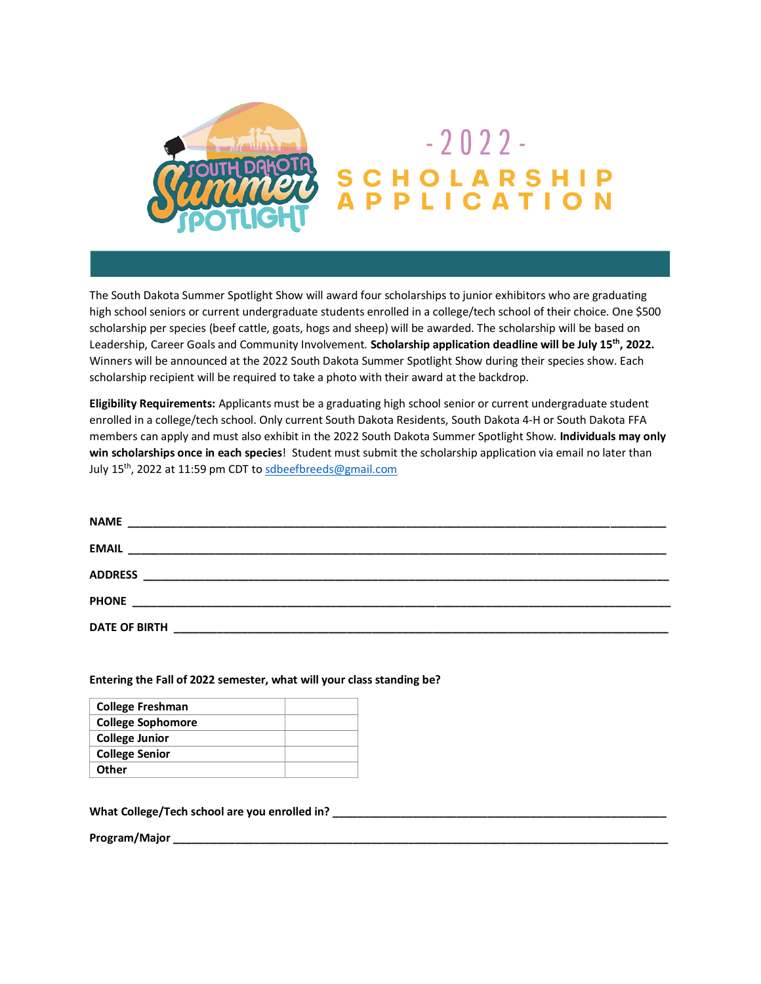

The South Dakota Summer Spotlight Show will award four scholarships to junior exhibitors who are graduating high school seniors or current undergraduate students enrolled in a college/tech school of their choice. One \$500 scholarship per species (beef cattle, goats, hogs and sheep) will be awarded. The scholarship will be based on Leadership, Career Goals and Community Involvement. **Scholarship application deadline will be July 15th, 2022.** Winners will be announced at the 2022 South Dakota Summer Spotlight Show during their species show. Each scholarship recipient will be required to take a photo with their award at the backdrop.

**Eligibility Requirements:** Applicants must be a graduating high school senior or current undergraduate student enrolled in a college/tech school. Only current South Dakota Residents, South Dakota 4-H or South Dakota FFA members can apply and must also exhibit in the 2022 South Dakota Summer Spotlight Show. **Individuals may only win scholarships once in each species**! Student must submit the scholarship application via email no later than July 15th, 2022 at 11:59 pm CDT t[o sdbeefbreeds@gmail.com](mailto:sdbeefbreeds@gmail.com)

| <b>NAME</b>          |                                                             |  |  |
|----------------------|-------------------------------------------------------------|--|--|
| <b>EMAIL</b>         |                                                             |  |  |
| <b>ADDRESS</b>       |                                                             |  |  |
| <b>PHONE</b>         |                                                             |  |  |
| <b>DATE OF BIRTH</b> | <u> 1980 - Jan Sterling, Amerikaansk politiker († 1908)</u> |  |  |

## **Entering the Fall of 2022 semester, what will your class standing be?**

| <b>College Freshman</b>  |  |
|--------------------------|--|
| <b>College Sophomore</b> |  |
| <b>College Junior</b>    |  |
| <b>College Senior</b>    |  |
| Other                    |  |

**What College/Tech school are you enrolled in? \_\_\_\_\_\_\_\_\_\_\_\_\_\_\_\_\_\_\_\_\_\_\_\_\_\_\_\_\_\_\_\_\_\_\_\_\_\_\_\_\_\_\_\_\_\_\_\_\_\_\_\_\_\_**

**Program/Major \_\_\_\_\_\_\_\_\_\_\_\_\_\_\_\_\_\_\_\_\_\_\_\_\_\_\_\_\_\_\_\_\_\_\_\_\_\_\_\_\_\_\_\_\_\_\_\_\_\_\_\_\_\_\_\_\_\_\_\_\_\_\_\_\_\_\_\_\_\_\_\_\_\_\_\_\_\_\_\_**